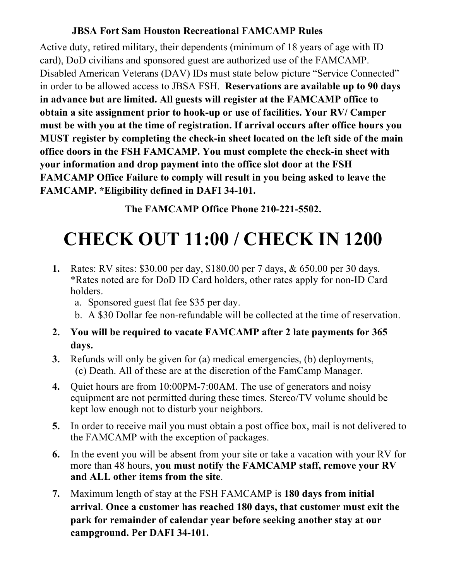### **JBSA Fort Sam Houston Recreational FAMCAMP Rules**

Active duty, retired military, their dependents (minimum of 18 years of age with ID card), DoD civilians and sponsored guest are authorized use of the FAMCAMP. Disabled American Veterans (DAV) IDs must state below picture "Service Connected" in order to be allowed access to JBSA FSH. **Reservations are available up to 90 days in advance but are limited. All guests will register at the FAMCAMP office to obtain a site assignment prior to hook-up or use of facilities. Your RV/ Camper must be with you at the time of registration. If arrival occurs after office hours you MUST register by completing the check-in sheet located on the left side of the main office doors in the FSH FAMCAMP. You must complete the check-in sheet with your information and drop payment into the office slot door at the FSH FAMCAMP Office Failure to comply will result in you being asked to leave the FAMCAMP. \*Eligibility defined in DAFI 34-101.** 

**The FAMCAMP Office Phone 210-221-5502.**

# **CHECK OUT 11:00 / CHECK IN 1200**

**1.** Rates: RV sites: \$30.00 per day, \$180.00 per 7 days, & 650.00 per 30 days. \*Rates noted are for DoD ID Card holders, other rates apply for non-ID Card holders.

a. Sponsored guest flat fee \$35 per day.

b. A \$30 Dollar fee non-refundable will be collected at the time of reservation.

- **2. You will be required to vacate FAMCAMP after 2 late payments for 365 days.**
- **3.** Refunds will only be given for (a) medical emergencies, (b) deployments, (c) Death. All of these are at the discretion of the FamCamp Manager.
- **4.** Quiet hours are from 10:00PM-7:00AM. The use of generators and noisy equipment are not permitted during these times. Stereo/TV volume should be kept low enough not to disturb your neighbors.
- **5.** In order to receive mail you must obtain a post office box, mail is not delivered to the FAMCAMP with the exception of packages.
- **6.** In the event you will be absent from your site or take a vacation with your RV for more than 48 hours, **you must notify the FAMCAMP staff, remove your RV and ALL other items from the site**.
- **7.** Maximum length of stay at the FSH FAMCAMP is **180 days from initial arrival**. **Once a customer has reached 180 days, that customer must exit the park for remainder of calendar year before seeking another stay at our campground. Per DAFI 34-101.**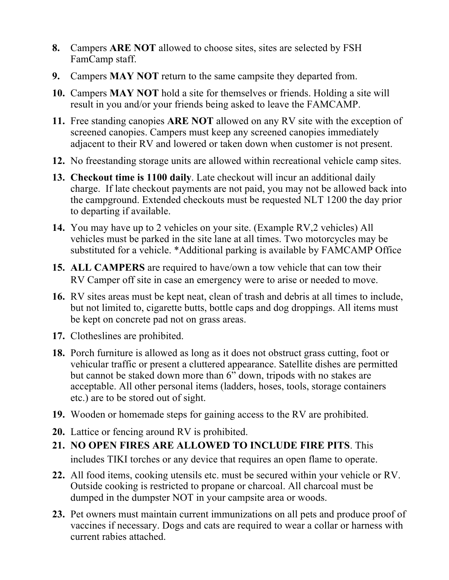- **8.** Campers **ARE NOT** allowed to choose sites, sites are selected by FSH FamCamp staff.
- **9.** Campers **MAY NOT** return to the same campsite they departed from.
- **10.** Campers **MAY NOT** hold a site for themselves or friends. Holding a site will result in you and/or your friends being asked to leave the FAMCAMP.
- **11.** Free standing canopies **ARE NOT** allowed on any RV site with the exception of screened canopies. Campers must keep any screened canopies immediately adjacent to their RV and lowered or taken down when customer is not present.
- **12.** No freestanding storage units are allowed within recreational vehicle camp sites.
- **13. Checkout time is 1100 daily**. Late checkout will incur an additional daily charge. If late checkout payments are not paid, you may not be allowed back into the campground. Extended checkouts must be requested NLT 1200 the day prior to departing if available.
- **14.** You may have up to 2 vehicles on your site. (Example RV,2 vehicles) All vehicles must be parked in the site lane at all times. Two motorcycles may be substituted for a vehicle. \*Additional parking is available by FAMCAMP Office
- **15. ALL CAMPERS** are required to have/own a tow vehicle that can tow their RV Camper off site in case an emergency were to arise or needed to move.
- **16.** RV sites areas must be kept neat, clean of trash and debris at all times to include, but not limited to, cigarette butts, bottle caps and dog droppings. All items must be kept on concrete pad not on grass areas.
- **17.** Clotheslines are prohibited.
- **18.** Porch furniture is allowed as long as it does not obstruct grass cutting, foot or vehicular traffic or present a cluttered appearance. Satellite dishes are permitted but cannot be staked down more than 6" down, tripods with no stakes are acceptable. All other personal items (ladders, hoses, tools, storage containers etc.) are to be stored out of sight.
- **19.** Wooden or homemade steps for gaining access to the RV are prohibited.
- **20.** Lattice or fencing around RV is prohibited.
- **21. NO OPEN FIRES ARE ALLOWED TO INCLUDE FIRE PITS**. This includes TIKI torches or any device that requires an open flame to operate.
- **22.** All food items, cooking utensils etc. must be secured within your vehicle or RV. Outside cooking is restricted to propane or charcoal. All charcoal must be dumped in the dumpster NOT in your campsite area or woods.
- **23.** Pet owners must maintain current immunizations on all pets and produce proof of vaccines if necessary. Dogs and cats are required to wear a collar or harness with current rabies attached.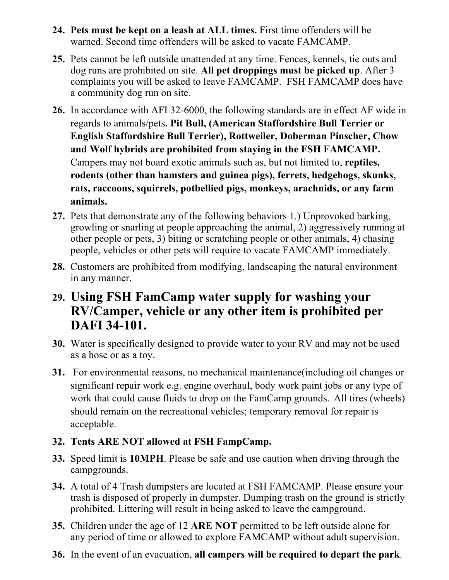- **24. Pets must be kept on a leash at ALL times.** First time offenders will be warned. Second time offenders will be asked to vacate FAMCAMP.
- **25.** Pets cannot be left outside unattended at any time. Fences, kennels, tie outs and dog runs are prohibited on site. **All pet droppings must be picked up**. After 3 complaints you will be asked to leave FAMCAMP. FSH FAMCAMP does have a community dog run on site.
- **26.** In accordance with AFI 32-6000, the following standards are in effect AF wide in regards to animals/pets**. Pit Bull, (American Staffordshire Bull Terrier or English Staffordshire Bull Terrier), Rottweiler, Doberman Pinscher, Chow and Wolf hybrids are prohibited from staying in the FSH FAMCAMP.**  Campers may not board exotic animals such as, but not limited to, **reptiles, rodents (other than hamsters and guinea pigs), ferrets, hedgehogs, skunks, rats, raccoons, squirrels, potbellied pigs, monkeys, arachnids, or any farm animals.**
- **27.** Pets that demonstrate any of the following behaviors 1.) Unprovoked barking, growling or snarling at people approaching the animal, 2) aggressively running at other people or pets, 3) biting or scratching people or other animals, 4) chasing people, vehicles or other pets will require to vacate FAMCAMP immediately.
- **28.** Customers are prohibited from modifying, landscaping the natural environment in any manner.
- **29. Using FSH FamCamp water supply for washing your RV/Camper, vehicle or any other item is prohibited per DAFI 34-101.**
- **30.** Water is specifically designed to provide water to your RV and may not be used as a hose or as a toy.
- **31.** For environmental reasons, no mechanical maintenance(including oil changes or significant repair work e.g. engine overhaul, body work paint jobs or any type of work that could cause fluids to drop on the FamCamp grounds. All tires (wheels) should remain on the recreational vehicles; temporary removal for repair is acceptable.

### **32. Tents ARE NOT allowed at FSH FampCamp.**

- **33.** Speed limit is **10MPH**. Please be safe and use caution when driving through the campgrounds.
- **34.** A total of 4 Trash dumpsters are located at FSH FAMCAMP. Please ensure your trash is disposed of properly in dumpster. Dumping trash on the ground is strictly prohibited. Littering will result in being asked to leave the campground.
- **35.** Children under the age of 12 **ARE NOT** permitted to be left outside alone for any period of time or allowed to explore FAMCAMP without adult supervision.
- **36.** In the event of an evacuation, **all campers will be required to depart the park**.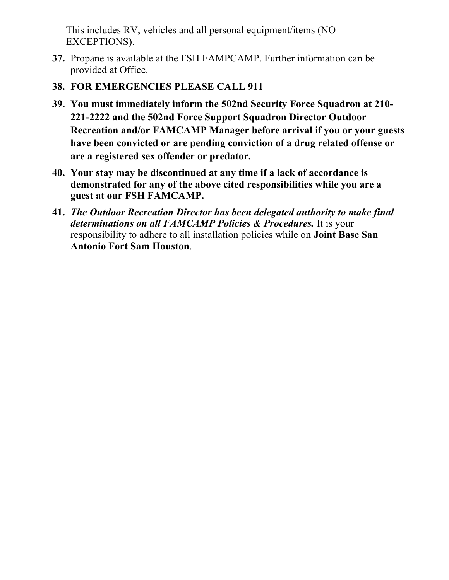This includes RV, vehicles and all personal equipment/items (NO EXCEPTIONS).

- **37.** Propane is available at the FSH FAMPCAMP. Further information can be provided at Office.
- **38. FOR EMERGENCIES PLEASE CALL 911**
- **39. You must immediately inform the 502nd Security Force Squadron at 210- 221-2222 and the 502nd Force Support Squadron Director Outdoor Recreation and/or FAMCAMP Manager before arrival if you or your guests have been convicted or are pending conviction of a drug related offense or are a registered sex offender or predator.**
- **40. Your stay may be discontinued at any time if a lack of accordance is demonstrated for any of the above cited responsibilities while you are a guest at our FSH FAMCAMP.**
- **41.** *The Outdoor Recreation Director has been delegated authority to make final determinations on all FAMCAMP Policies & Procedures.* It is your responsibility to adhere to all installation policies while on **Joint Base San Antonio Fort Sam Houston**.